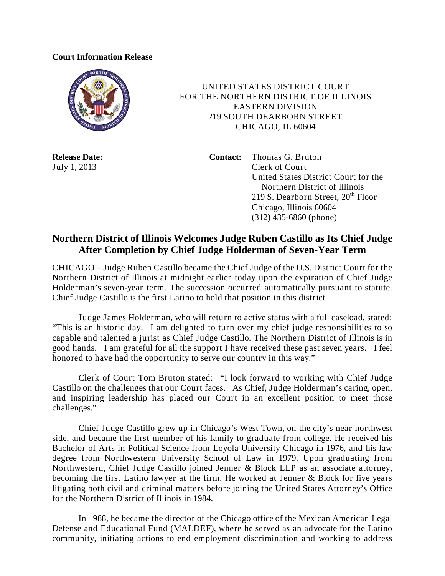## **Court Information Release**



 UNITED STATES DISTRICT COURT FOR THE NORTHERN DISTRICT OF ILLINOIS EASTERN DIVISION 219 SOUTH DEARBORN STREET CHICAGO, IL 60604

**Release Date: Contact:** Thomas G. Bruton July 1, 2013 Clerk of Court United States District Court for the Northern District of Illinois 219 S. Dearborn Street,  $20<sup>th</sup>$  Floor Chicago, Illinois 60604 (312) 435-6860 (phone)

## **Northern District of Illinois Welcomes Judge Ruben Castillo as Its Chief Judge After Completion by Chief Judge Holderman of Seven-Year Term**

CHICAGO - Judge Ruben Castillo became the Chief Judge of the U.S. District Court for the Northern District of Illinois at midnight earlier today upon the expiration of Chief Judge Holderman's seven-year term. The succession occurred automatically pursuant to statute. Chief Judge Castillo is the first Latino to hold that position in this district.

Judge James Holderman, who will return to active status with a full caseload, stated: "This is an historic day. I am delighted to turn over my chief judge responsibilities to so capable and talented a jurist as Chief Judge Castillo. The Northern District of Illinois is in good hands. I am grateful for all the support I have received these past seven years. I feel honored to have had the opportunity to serve our country in this way."

Clerk of Court Tom Bruton stated: "I look forward to working with Chief Judge Castillo on the challenges that our Court faces. As Chief, Judge Holderman's caring, open, and inspiring leadership has placed our Court in an excellent position to meet those challenges."

Chief Judge Castillo grew up in Chicago's West Town, on the city's near northwest side, and became the first member of his family to graduate from college. He received his Bachelor of Arts in Political Science from Loyola University Chicago in 1976, and his law degree from Northwestern University School of Law in 1979. Upon graduating from Northwestern, Chief Judge Castillo joined Jenner & Block LLP as an associate attorney, becoming the first Latino lawyer at the firm. He worked at Jenner & Block for five years litigating both civil and criminal matters before joining the United States Attorney's Office for the Northern District of Illinois in 1984.

In 1988, he became the director of the Chicago office of the Mexican American Legal Defense and Educational Fund (MALDEF), where he served as an advocate for the Latino community, initiating actions to end employment discrimination and working to address